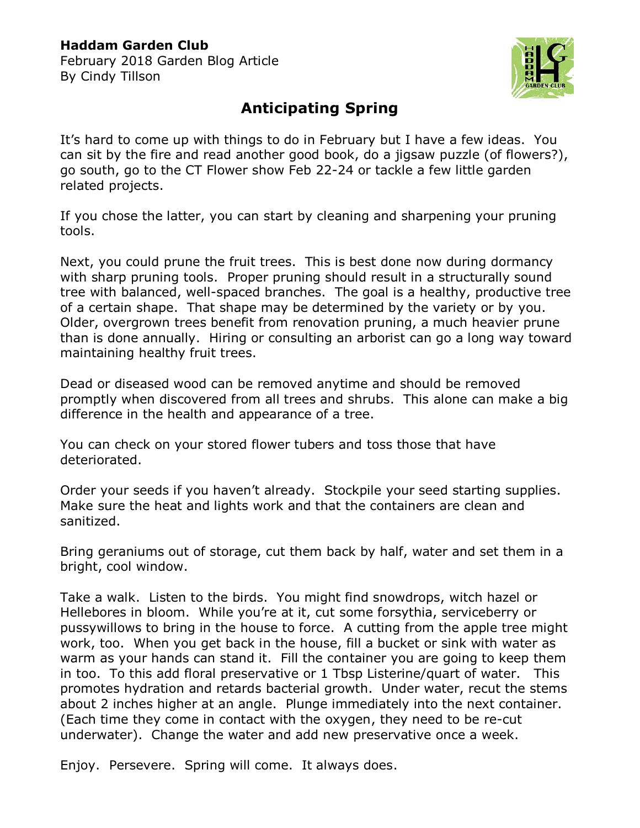## **Haddam Garden Club**

February 2018 Garden Blog Article By Cindy Tillson



## **Anticipating Spring**

It's hard to come up with things to do in February but I have a few ideas. You can sit by the fire and read another good book, do a jigsaw puzzle (of flowers?), go south, go to the CT Flower show Feb 22-24 or tackle a few little garden related projects.

If you chose the latter, you can start by cleaning and sharpening your pruning tools.

Next, you could prune the fruit trees. This is best done now during dormancy with sharp pruning tools. Proper pruning should result in a structurally sound tree with balanced, well-spaced branches. The goal is a healthy, productive tree of a certain shape. That shape may be determined by the variety or by you. Older, overgrown trees benefit from renovation pruning, a much heavier prune than is done annually. Hiring or consulting an arborist can go a long way toward maintaining healthy fruit trees.

Dead or diseased wood can be removed anytime and should be removed promptly when discovered from all trees and shrubs. This alone can make a big difference in the health and appearance of a tree.

You can check on your stored flower tubers and toss those that have deteriorated.

Order your seeds if you haven't already. Stockpile your seed starting supplies. Make sure the heat and lights work and that the containers are clean and sanitized.

Bring geraniums out of storage, cut them back by half, water and set them in a bright, cool window.

Take a walk. Listen to the birds. You might find snowdrops, witch hazel or Hellebores in bloom. While you're at it, cut some forsythia, serviceberry or pussywillows to bring in the house to force. A cutting from the apple tree might work, too. When you get back in the house, fill a bucket or sink with water as warm as your hands can stand it. Fill the container you are going to keep them in too. To this add floral preservative or 1 Tbsp Listerine/quart of water. This promotes hydration and retards bacterial growth. Under water, recut the stems about 2 inches higher at an angle. Plunge immediately into the next container. (Each time they come in contact with the oxygen, they need to be re-cut underwater). Change the water and add new preservative once a week.

Enjoy. Persevere. Spring will come. It always does.